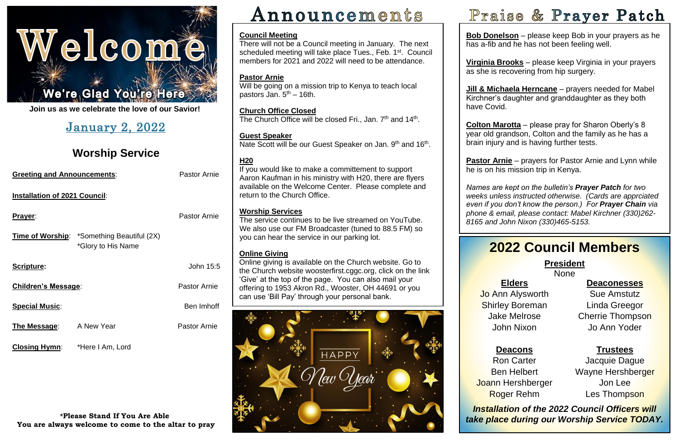

**Join us as we celebrate the love of our Savior!**

| <b>Greeting and Announcements:</b>   |                                                                         | <b>Pastor Arnie</b> |  |
|--------------------------------------|-------------------------------------------------------------------------|---------------------|--|
| <b>Installation of 2021 Council:</b> |                                                                         |                     |  |
| <u>Prayer:</u>                       |                                                                         | <b>Pastor Arnie</b> |  |
|                                      | <b>Time of Worship:</b> *Something Beautiful (2X)<br>*Glory to His Name |                     |  |
| <b>Scripture:</b>                    |                                                                         | John 15:5           |  |
| <b>Children's Message:</b>           |                                                                         | <b>Pastor Arnie</b> |  |
| <b>Special Music:</b>                |                                                                         | Ben Imhoff          |  |
| The Message:                         | A New Year                                                              | <b>Pastor Arnie</b> |  |
|                                      |                                                                         |                     |  |

# January 2, 2022

# **Worship Service**

Will be going on a mission trip to Kenya to teach local pastors Jan. 5<sup>th</sup> – 16th.

**Closing Hymn**: \*Here I Am, Lord

**Church Office Closed** The Church Office will be closed Fri., Jan. 7<sup>th</sup> and 14<sup>th</sup>.

**\*Please Stand If You Are Able You are always welcome to come to the altar to pray**

# Announcements

### **Guest Speaker** Nate Scott will be our Guest Speaker on Jan. 9<sup>th</sup> and 16<sup>th</sup>.

### **Council Meeting**

There will not be a Council meeting in January. The next scheduled meeting will take place Tues., Feb. 1<sup>st</sup>. Council members for 2021 and 2022 will need to be attendance.

### **Pastor Arnie**

### **H20**

**<u>COROM MATORA</u>** product pray for Undited Uponly biggers of the set of the set of the set of the set of the set of the set of the set of the set of the set of the set of the set of the set of the set of the set of the set **Colton Marotta** – please pray for Sharon Oberly's 8 brain injury and is having further tests.

If you would like to make a committement to support Aaron Kaufman in his ministry with H20, there are flyers available on the Welcome Center. Please complete and return to the Church Office.

J **Pastor Arnie** – prayers for Pastor Arnie and Lynn while he is on his mission trip in Kenya.

### **Worship Services**

### i<br>I **2022 Council Members**

Ī None

The service continues to be live streamed on YouTube. We also use our FM Broadcaster (tuned to 88.5 FM) so you can hear the service in our parking lot.

### **Online Giving**

 *weeks unless instructed otherwise. (Cards are apprciated phone & email, please contact: Mabel Kirchner (330)262- 8165 and John Nixon (330)465-5153. Names are kept on the bulletin's Prayer Patch for two even if you don't know the person.) For Prayer Chain via* 

### **President**

Online giving is available on the Church website. Go to the Church website [woosterfirst.cggc.org,](http://woosterfirst.cggc.org/) click on the link 'Give' at the top of the page. You can also mail your offering to 1953 Akron Rd., Wooster, OH 44691 or you can use 'Bill Pay' through your personal bank.



 *Installation of the 2022 Council Officers will take place during our Worship Service TODAY.*

**Bob Donelson** – please keep Bob in your prayers as he has a-fib and he has not been feeling well.

**Virginia Brooks** – please keep Virginia in your prayers as she is recovering from hip surgery.

**Jill & Michaela Herncane** – prayers needed for Mabel Kirchner's daughter and granddaughter as they both have Covid.

### **Elders**

Jo Ann Alysworth Shirley Boreman Jake Melrose John Nixon

**Deacons** Ron Carter Ben Helbert Joann Hershberger Roger Rehm

# Praise & Prayer Patch

### **Deaconesses**

Sue Amstutz Linda Greegor Cherrie Thompson Jo Ann Yoder

**Trustees**

Jacquie Dague Wayne Hershberger Jon Lee Les Thompson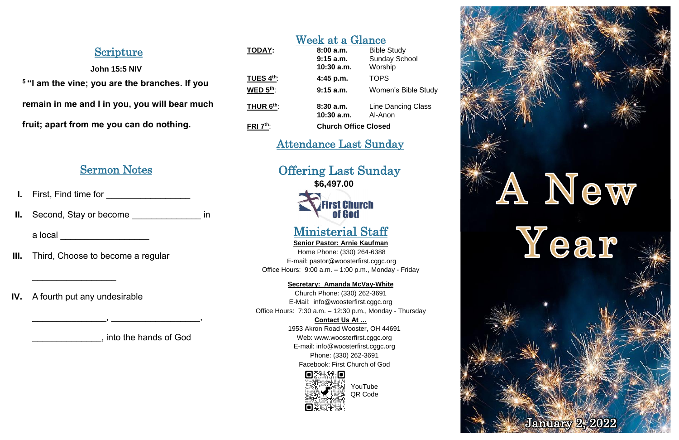# Scripture

### **John 15:5 NIV**

**<sup>5</sup> "I am the vine; you are the branches. If you remain in me and I in you, you will bear much fruit; apart from me you can do nothing.**

## Sermon Notes

- **I.** First, Find time for **William**
- **II.** Second, Stay or become \_\_\_\_\_\_\_\_\_\_\_\_\_\_\_ in

a local \_\_\_\_\_\_\_\_\_\_\_\_\_\_\_\_\_\_\_\_\_

- **III.** Third, Choose to become a regular
- **IV.** A fourth put any undesirable

 $\mathcal{L}_\text{max}$  , we have the set of the set of the set of the set of the set of the set of the set of the set of the set of the set of the set of the set of the set of the set of the set of the set of the set of the set of

\_\_\_\_\_\_\_\_\_\_\_\_\_\_, into the hands of God

 $\qquad \qquad , \qquad \qquad \qquad .$ 

# Week at a Glance **TODAY: 8:00 a.m.** Bible Study

|                        | $9:15$ a.m.<br>$10:30$ a.m. | <b>Sunday School</b><br>Worship      |
|------------------------|-----------------------------|--------------------------------------|
| TUES $4th$ :           | 4:45 p.m.                   | <b>TOPS</b>                          |
| WED $5th$ :            | $9:15$ a.m.                 | <b>Women's Bible Study</b>           |
| THUR 6 <sup>th</sup> : | 8:30a.m.<br>$10:30$ a.m.    | <b>Line Dancing Class</b><br>Al-Anon |
| FRI $7th$ :            | <b>Church Office Closed</b> |                                      |

# Attendance Last Sunday

Offering Last Sunday **\$6,497.00**

# **First Church** of God

# Ministerial Staff

**Senior Pastor: Arnie Kaufman** Home Phone: (330) 264-6388 E-mail: [pastor@woosterfirst.cggc.org](mailto:pastor@woosterfirst.cggc.org) Office Hours: 9:00 a.m. – 1:00 p.m., Monday - Friday

**Secretary: Amanda McVay-White**

Church Phone: (330) 262-3691 E-Mail: info@woosterfirst.cggc.org Office Hours: 7:30 a.m. – 12:30 p.m., Monday - Thursday

### **Contact Us At …**

1953 Akron Road Wooster, OH 44691 Web: [www.woosterfirst.cggc.org](http://www.woosterfirst.cggc.org/) E-mail: info@woosterfirst.cggc.org Phone: (330) 262-3691 Facebook: First Church of God





YouTube QR Code